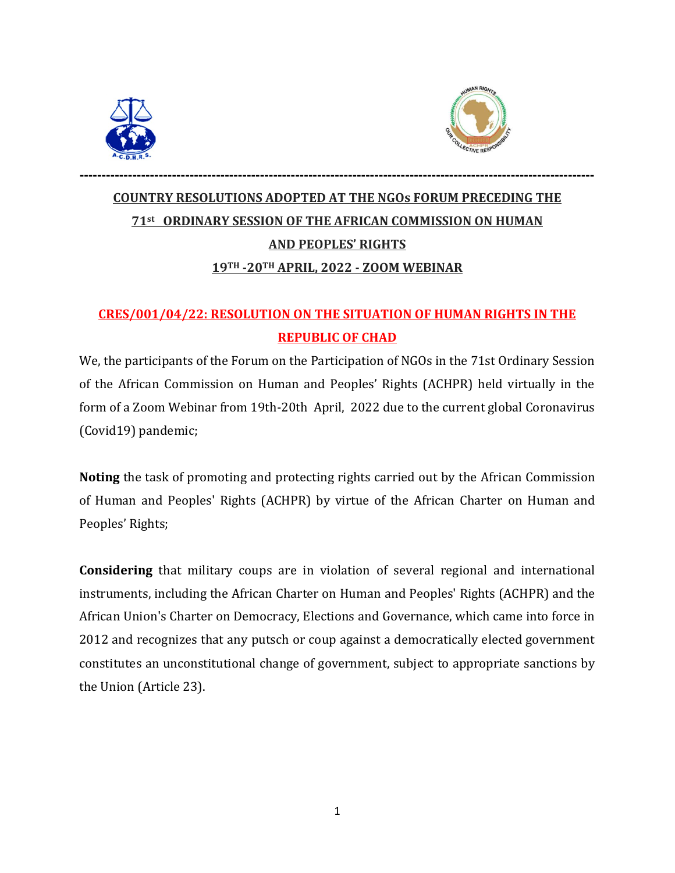



# **COUNTRY RESOLUTIONS ADOPTED AT THE NGOs FORUM PRECEDING THE 71st ORDINARY SESSION OF THE AFRICAN COMMISSION ON HUMAN AND PEOPLES' RIGHTS 19TH -20TH APRIL, 2022 - ZOOM WEBINAR**

**---------------------------------------------------------------------------------------------------------------------** 

## **CRES/001/04/22: RESOLUTION ON THE SITUATION OF HUMAN RIGHTS IN THE REPUBLIC OF CHAD**

We, the participants of the Forum on the Participation of NGOs in the 71st Ordinary Session of the African Commission on Human and Peoples' Rights (ACHPR) held virtually in the form of a Zoom Webinar from 19th-20th April, 2022 due to the current global Coronavirus (Covid19) pandemic;

**Noting** the task of promoting and protecting rights carried out by the African Commission of Human and Peoples' Rights (ACHPR) by virtue of the African Charter on Human and Peoples' Rights;

**Considering** that military coups are in violation of several regional and international instruments, including the African Charter on Human and Peoples' Rights (ACHPR) and the African Union's Charter on Democracy, Elections and Governance, which came into force in 2012 and recognizes that any putsch or coup against a democratically elected government constitutes an unconstitutional change of government, subject to appropriate sanctions by the Union (Article 23).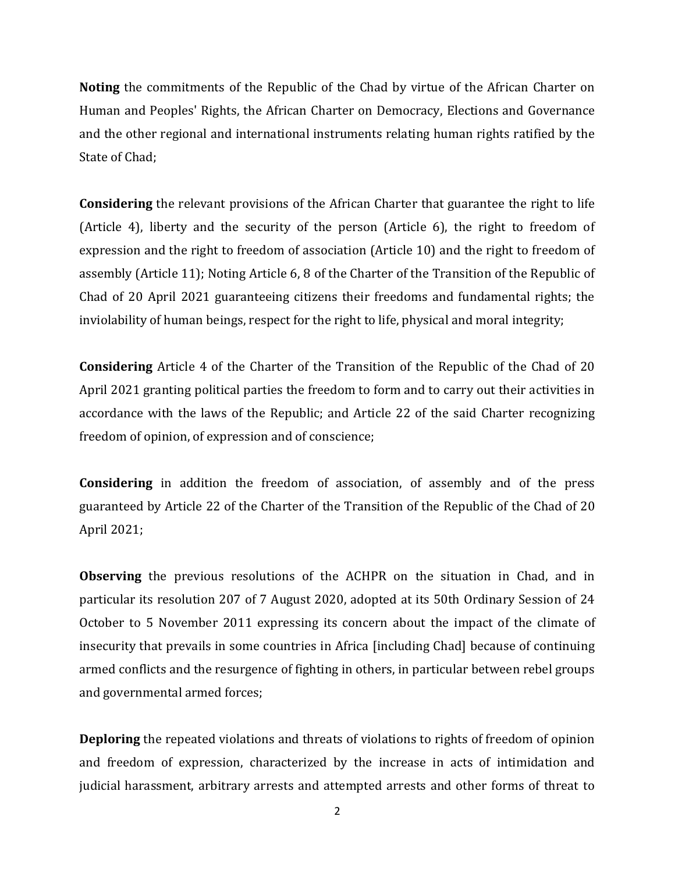**Noting** the commitments of the Republic of the Chad by virtue of the African Charter on Human and Peoples' Rights, the African Charter on Democracy, Elections and Governance and the other regional and international instruments relating human rights ratified by the State of Chad;

**Considering** the relevant provisions of the African Charter that guarantee the right to life (Article 4), liberty and the security of the person (Article 6), the right to freedom of expression and the right to freedom of association (Article 10) and the right to freedom of assembly (Article 11); Noting Article 6, 8 of the Charter of the Transition of the Republic of Chad of 20 April 2021 guaranteeing citizens their freedoms and fundamental rights; the inviolability of human beings, respect for the right to life, physical and moral integrity;

**Considering** Article 4 of the Charter of the Transition of the Republic of the Chad of 20 April 2021 granting political parties the freedom to form and to carry out their activities in accordance with the laws of the Republic; and Article 22 of the said Charter recognizing freedom of opinion, of expression and of conscience;

**Considering** in addition the freedom of association, of assembly and of the press guaranteed by Article 22 of the Charter of the Transition of the Republic of the Chad of 20 April 2021;

**Observing** the previous resolutions of the ACHPR on the situation in Chad, and in particular its resolution 207 of 7 August 2020, adopted at its 50th Ordinary Session of 24 October to 5 November 2011 expressing its concern about the impact of the climate of insecurity that prevails in some countries in Africa [including Chad] because of continuing armed conflicts and the resurgence of fighting in others, in particular between rebel groups and governmental armed forces;

**Deploring** the repeated violations and threats of violations to rights of freedom of opinion and freedom of expression, characterized by the increase in acts of intimidation and judicial harassment, arbitrary arrests and attempted arrests and other forms of threat to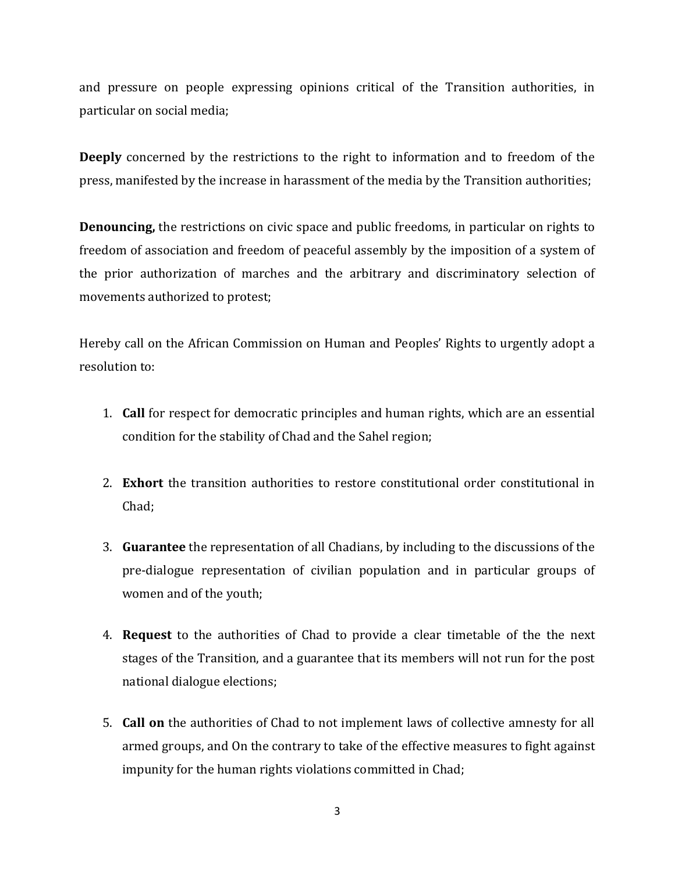and pressure on people expressing opinions critical of the Transition authorities, in particular on social media;

**Deeply** concerned by the restrictions to the right to information and to freedom of the press, manifested by the increase in harassment of the media by the Transition authorities;

**Denouncing,** the restrictions on civic space and public freedoms, in particular on rights to freedom of association and freedom of peaceful assembly by the imposition of a system of the prior authorization of marches and the arbitrary and discriminatory selection of movements authorized to protest;

Hereby call on the African Commission on Human and Peoples' Rights to urgently adopt a resolution to:

- 1. **Call** for respect for democratic principles and human rights, which are an essential condition for the stability of Chad and the Sahel region;
- 2. **Exhort** the transition authorities to restore constitutional order constitutional in Chad;
- 3. **Guarantee** the representation of all Chadians, by including to the discussions of the pre-dialogue representation of civilian population and in particular groups of women and of the youth;
- 4. **Request** to the authorities of Chad to provide a clear timetable of the the next stages of the Transition, and a guarantee that its members will not run for the post national dialogue elections;
- 5. **Call on** the authorities of Chad to not implement laws of collective amnesty for all armed groups, and On the contrary to take of the effective measures to fight against impunity for the human rights violations committed in Chad;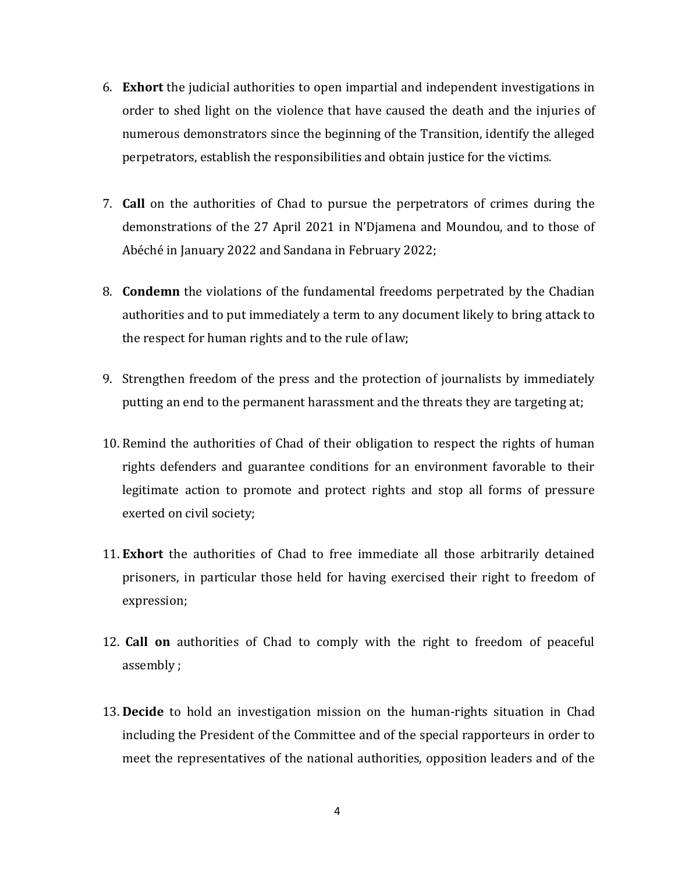- 6. **Exhort** the judicial authorities to open impartial and independent investigations in order to shed light on the violence that have caused the death and the injuries of numerous demonstrators since the beginning of the Transition, identify the alleged perpetrators, establish the responsibilities and obtain justice for the victims.
- 7. **Call** on the authorities of Chad to pursue the perpetrators of crimes during the demonstrations of the 27 April 2021 in N'Djamena and Moundou, and to those of Abéché in January 2022 and Sandana in February 2022;
- 8. **Condemn** the violations of the fundamental freedoms perpetrated by the Chadian authorities and to put immediately a term to any document likely to bring attack to the respect for human rights and to the rule of law;
- 9. Strengthen freedom of the press and the protection of journalists by immediately putting an end to the permanent harassment and the threats they are targeting at;
- 10. Remind the authorities of Chad of their obligation to respect the rights of human rights defenders and guarantee conditions for an environment favorable to their legitimate action to promote and protect rights and stop all forms of pressure exerted on civil society;
- 11. **Exhort** the authorities of Chad to free immediate all those arbitrarily detained prisoners, in particular those held for having exercised their right to freedom of expression;
- 12. **Call on** authorities of Chad to comply with the right to freedom of peaceful assembly ;
- 13. **Decide** to hold an investigation mission on the human-rights situation in Chad including the President of the Committee and of the special rapporteurs in order to meet the representatives of the national authorities, opposition leaders and of the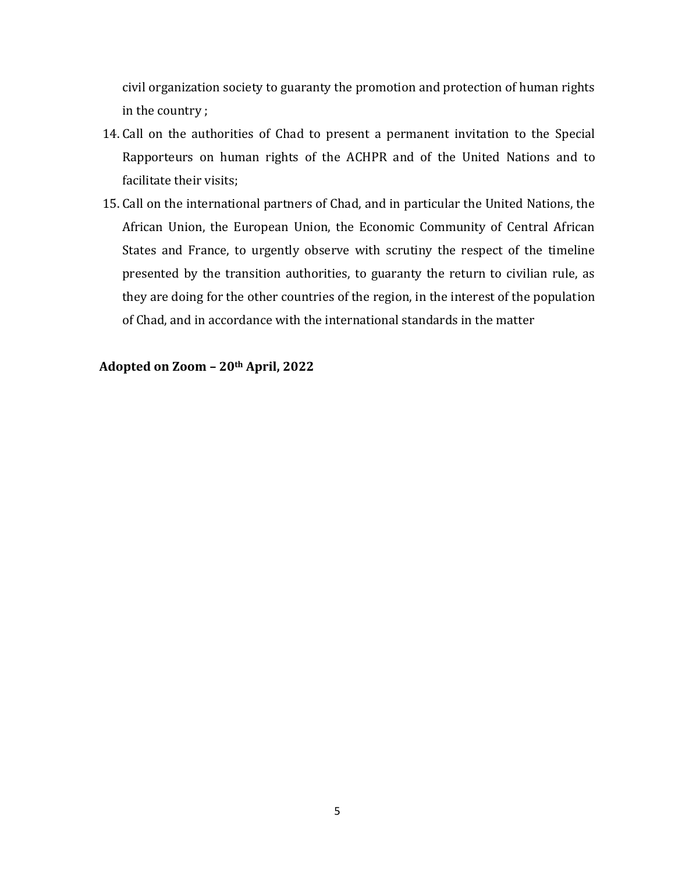civil organization society to guaranty the promotion and protection of human rights in the country ;

- 14. Call on the authorities of Chad to present a permanent invitation to the Special Rapporteurs on human rights of the ACHPR and of the United Nations and to facilitate their visits;
- 15. Call on the international partners of Chad, and in particular the United Nations, the African Union, the European Union, the Economic Community of Central African States and France, to urgently observe with scrutiny the respect of the timeline presented by the transition authorities, to guaranty the return to civilian rule, as they are doing for the other countries of the region, in the interest of the population of Chad, and in accordance with the international standards in the matter

#### **Adopted on Zoom – 20th April, 2022**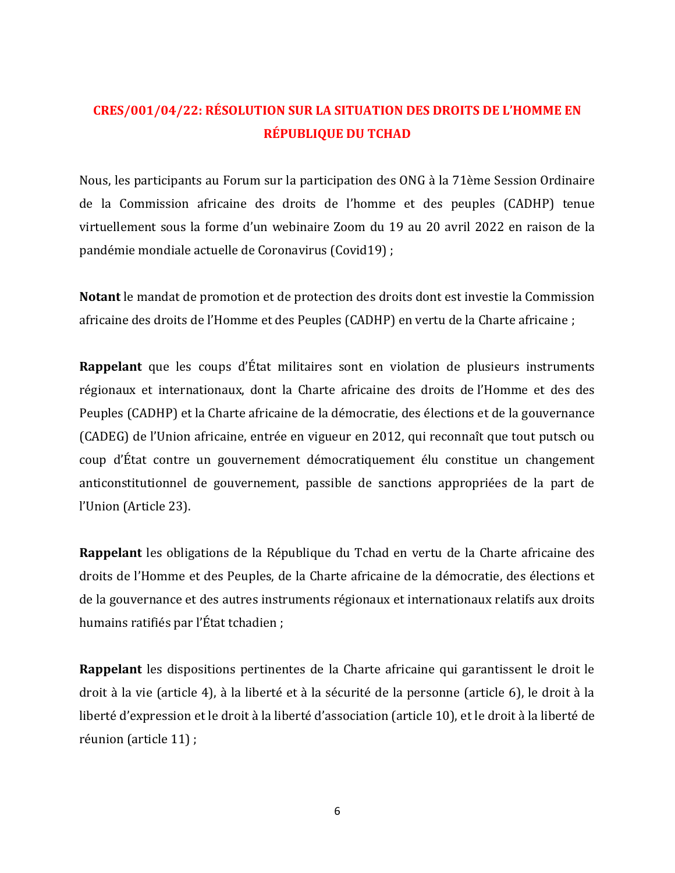#### **CRES/001/04/22: RÉSOLUTION SUR LA SITUATION DES DROITS DE L'HOMME EN RÉPUBLIQUE DU TCHAD**

Nous, les participants au Forum sur la participation des ONG à la 71ème Session Ordinaire de la Commission africaine des droits de l'homme et des peuples (CADHP) tenue virtuellement sous la forme d'un webinaire Zoom du 19 au 20 avril 2022 en raison de la pandémie mondiale actuelle de Coronavirus (Covid19) ;

**Notant** le mandat de promotion et de protection des droits dont est investie la Commission africaine des droits de l'Homme et des Peuples (CADHP) en vertu de la Charte africaine ;

**Rappelant** que les coups d'État militaires sont en violation de plusieurs instruments régionaux et internationaux, dont la Charte africaine des droits de l'Homme et des des Peuples (CADHP) et la Charte africaine de la démocratie, des élections et de la gouvernance (CADEG) de l'Union africaine, entrée en vigueur en 2012, qui reconnaît que tout putsch ou coup d'État contre un gouvernement démocratiquement élu constitue un changement anticonstitutionnel de gouvernement, passible de sanctions appropriées de la part de l'Union (Article 23).

**Rappelant** les obligations de la République du Tchad en vertu de la Charte africaine des droits de l'Homme et des Peuples, de la Charte africaine de la démocratie, des élections et de la gouvernance et des autres instruments régionaux et internationaux relatifs aux droits humains ratifiés par l'État tchadien ;

**Rappelant** les dispositions pertinentes de la Charte africaine qui garantissent le droit le droit à la vie (article 4), à la liberté et à la sécurité de la personne (article 6), le droit à la liberté d'expression et le droit à la liberté d'association (article 10), et le droit à la liberté de réunion (article 11) ;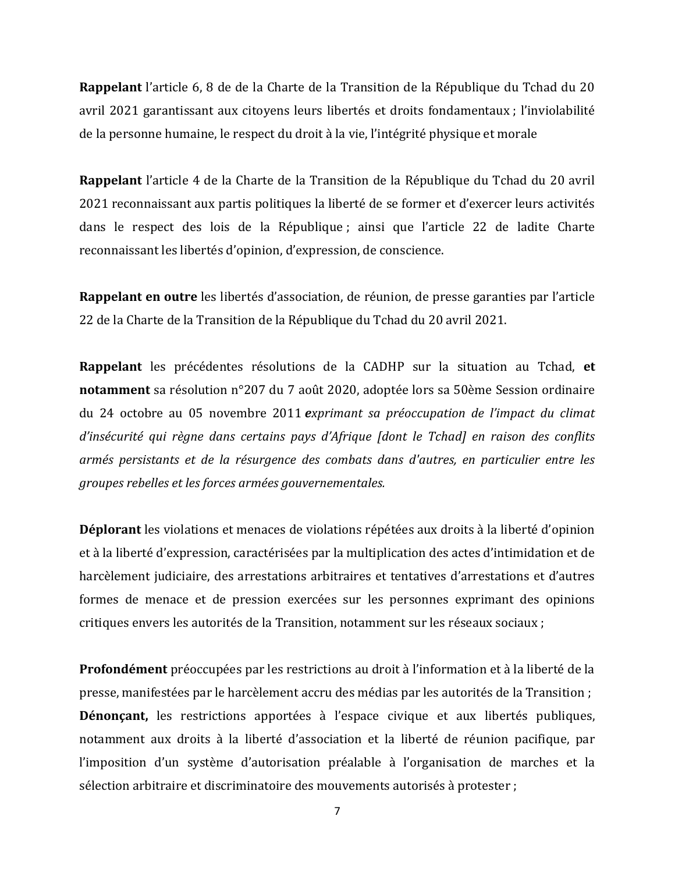**Rappelant** l'article 6, 8 de de la Charte de la Transition de la République du Tchad du 20 avril 2021 garantissant aux citoyens leurs libertés et droits fondamentaux ; l'inviolabilité de la personne humaine, le respect du droit à la vie, l'intégrité physique et morale

**Rappelant** l'article 4 de la Charte de la Transition de la République du Tchad du 20 avril 2021 reconnaissant aux partis politiques la liberté de se former et d'exercer leurs activités dans le respect des lois de la République ; ainsi que l'article 22 de ladite Charte reconnaissant les libertés d'opinion, d'expression, de conscience.

**Rappelant en outre** les libertés d'association, de réunion, de presse garanties par l'article 22 de la Charte de la Transition de la République du Tchad du 20 avril 2021.

**Rappelant** les précédentes résolutions de la CADHP sur la situation au Tchad, **et notamment** sa résolution n°207 du 7 août 2020, adoptée lors sa 50ème Session ordinaire du 24 octobre au 05 novembre 2011 *exprimant sa préoccupation de l'impact du climat d'insécurité qui règne dans certains pays d'Afrique [dont le Tchad] en raison des conflits armés persistants et de la résurgence des combats dans d'autres, en particulier entre les groupes rebelles et les forces armées gouvernementales.*

**Déplorant** les violations et menaces de violations répétées aux droits à la liberté d'opinion et à la liberté d'expression, caractérisées par la multiplication des actes d'intimidation et de harcèlement judiciaire, des arrestations arbitraires et tentatives d'arrestations et d'autres formes de menace et de pression exercées sur les personnes exprimant des opinions critiques envers les autorités de la Transition, notamment sur les réseaux sociaux ;

**Profondément** préoccupées par les restrictions au droit à l'information et à la liberté de la presse, manifestées par le harcèlement accru des médias par les autorités de la Transition ; **Dénonçant,** les restrictions apportées à l'espace civique et aux libertés publiques, notamment aux droits à la liberté d'association et la liberté de réunion pacifique, par l'imposition d'un système d'autorisation préalable à l'organisation de marches et la sélection arbitraire et discriminatoire des mouvements autorisés à protester ;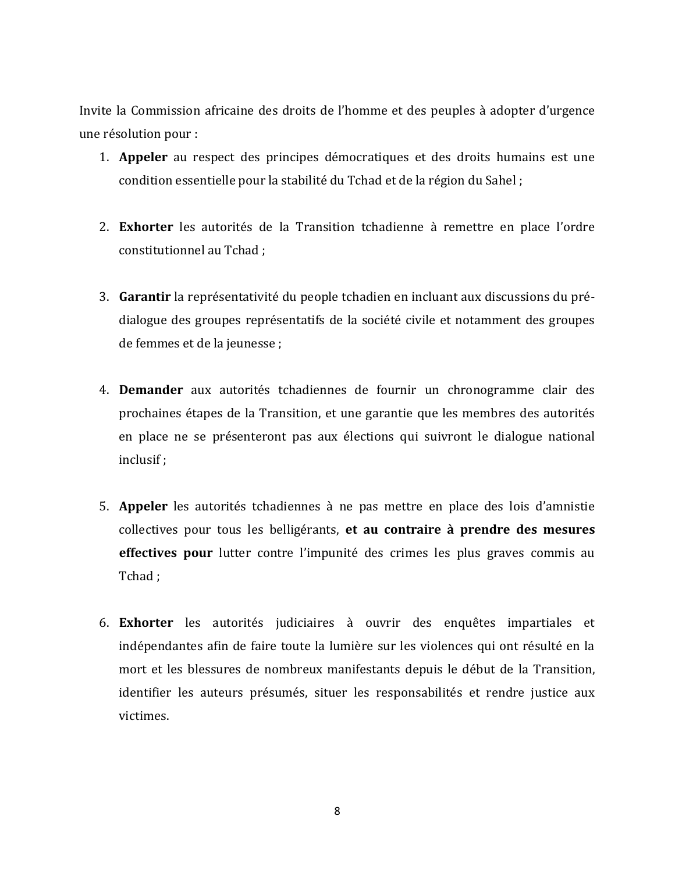Invite la Commission africaine des droits de l'homme et des peuples à adopter d'urgence une résolution pour :

- 1. **Appeler** au respect des principes démocratiques et des droits humains est une condition essentielle pour la stabilité du Tchad et de la région du Sahel ;
- 2. **Exhorter** les autorités de la Transition tchadienne à remettre en place l'ordre constitutionnel au Tchad ;
- 3. **Garantir** la représentativité du people tchadien en incluant aux discussions du prédialogue des groupes représentatifs de la société civile et notamment des groupes de femmes et de la jeunesse ;
- 4. **Demander** aux autorités tchadiennes de fournir un chronogramme clair des prochaines étapes de la Transition, et une garantie que les membres des autorités en place ne se présenteront pas aux élections qui suivront le dialogue national inclusif ;
- 5. **Appeler** les autorités tchadiennes à ne pas mettre en place des lois d'amnistie collectives pour tous les belligérants, **et au contraire à prendre des mesures effectives pour** lutter contre l'impunité des crimes les plus graves commis au Tchad ;
- 6. **Exhorter** les autorités judiciaires à ouvrir des enquêtes impartiales et indépendantes afin de faire toute la lumière sur les violences qui ont résulté en la mort et les blessures de nombreux manifestants depuis le début de la Transition, identifier les auteurs présumés, situer les responsabilités et rendre justice aux victimes.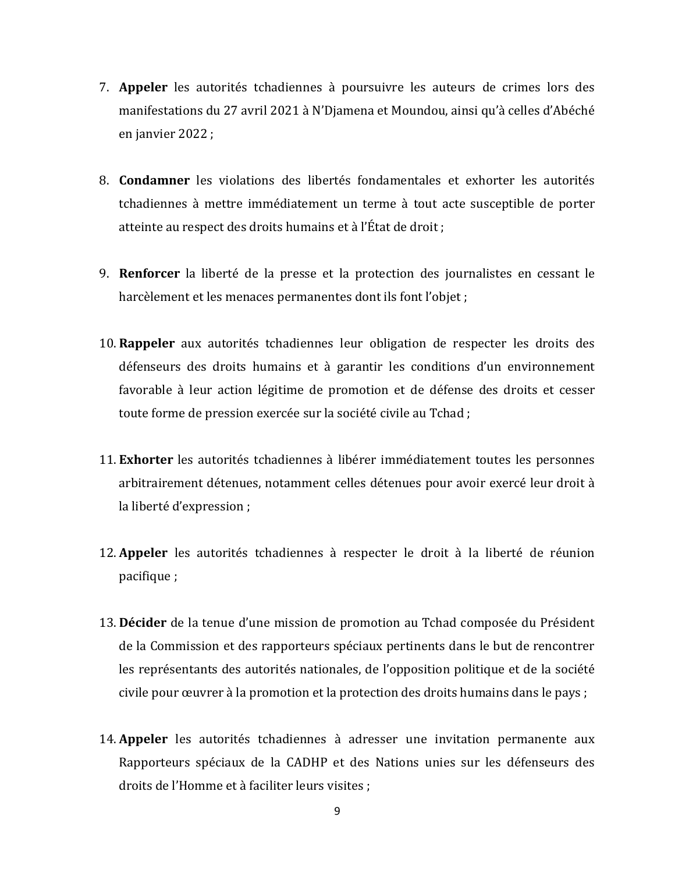- 7. **Appeler** les autorités tchadiennes à poursuivre les auteurs de crimes lors des manifestations du 27 avril 2021 à N'Djamena et Moundou, ainsi qu'à celles d'Abéché en janvier 2022 ;
- 8. **Condamner** les violations des libertés fondamentales et exhorter les autorités tchadiennes à mettre immédiatement un terme à tout acte susceptible de porter atteinte au respect des droits humains et à l'État de droit ;
- 9. **Renforcer** la liberté de la presse et la protection des journalistes en cessant le harcèlement et les menaces permanentes dont ils font l'objet ;
- 10. **Rappeler** aux autorités tchadiennes leur obligation de respecter les droits des défenseurs des droits humains et à garantir les conditions d'un environnement favorable à leur action légitime de promotion et de défense des droits et cesser toute forme de pression exercée sur la société civile au Tchad ;
- 11. **Exhorter** les autorités tchadiennes à libérer immédiatement toutes les personnes arbitrairement détenues, notamment celles détenues pour avoir exercé leur droit à la liberté d'expression ;
- 12. **Appeler** les autorités tchadiennes à respecter le droit à la liberté de réunion pacifique ;
- 13. **Décider** de la tenue d'une mission de promotion au Tchad composée du Président de la Commission et des rapporteurs spéciaux pertinents dans le but de rencontrer les représentants des autorités nationales, de l'opposition politique et de la société civile pour œuvrer à la promotion et la protection des droits humains dans le pays ;
- 14. **Appeler** les autorités tchadiennes à adresser une invitation permanente aux Rapporteurs spéciaux de la CADHP et des Nations unies sur les défenseurs des droits de l'Homme et à faciliter leurs visites ;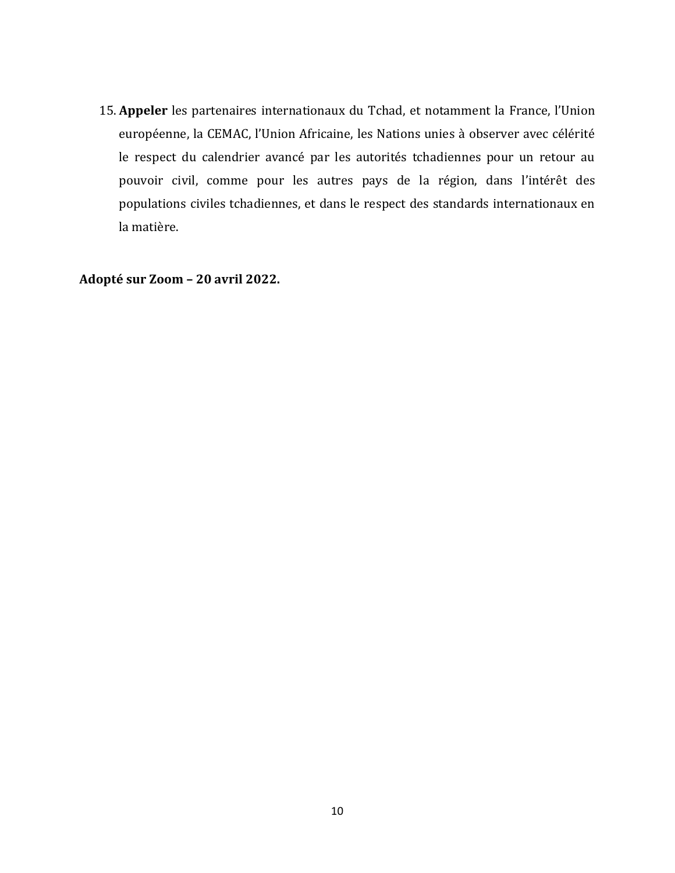15. **Appeler** les partenaires internationaux du Tchad, et notamment la France, l'Union européenne, la CEMAC, l'Union Africaine, les Nations unies à observer avec célérité le respect du calendrier avancé par les autorités tchadiennes pour un retour au pouvoir civil, comme pour les autres pays de la région, dans l'intérêt des populations civiles tchadiennes, et dans le respect des standards internationaux en la matière.

**Adopté sur Zoom – 20 avril 2022.**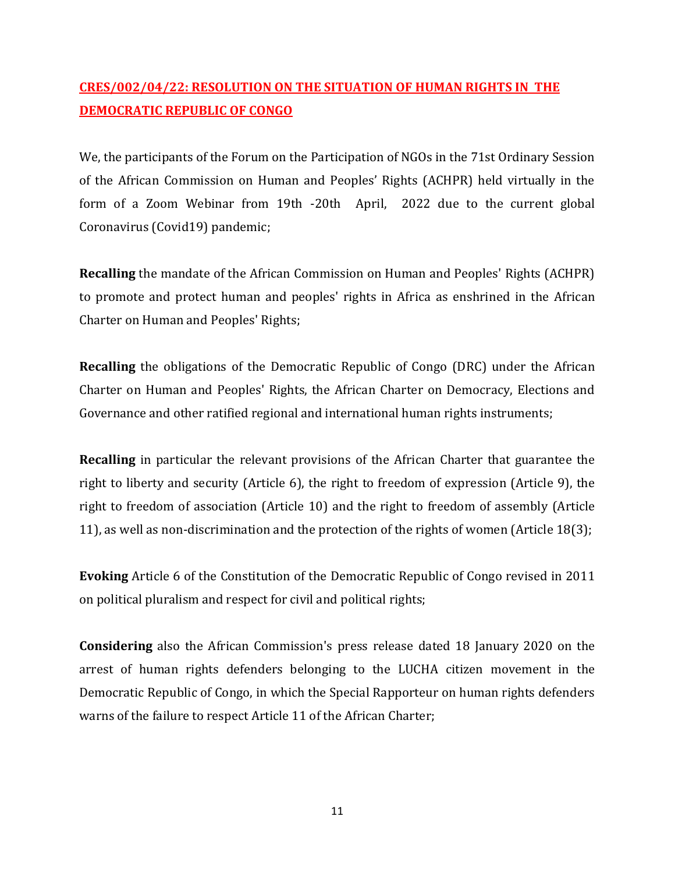### **CRES/002/04/22: RESOLUTION ON THE SITUATION OF HUMAN RIGHTS IN THE DEMOCRATIC REPUBLIC OF CONGO**

We, the participants of the Forum on the Participation of NGOs in the 71st Ordinary Session of the African Commission on Human and Peoples' Rights (ACHPR) held virtually in the form of a Zoom Webinar from 19th -20th April, 2022 due to the current global Coronavirus (Covid19) pandemic;

**Recalling** the mandate of the African Commission on Human and Peoples' Rights (ACHPR) to promote and protect human and peoples' rights in Africa as enshrined in the African Charter on Human and Peoples' Rights;

**Recalling** the obligations of the Democratic Republic of Congo (DRC) under the African Charter on Human and Peoples' Rights, the African Charter on Democracy, Elections and Governance and other ratified regional and international human rights instruments;

**Recalling** in particular the relevant provisions of the African Charter that guarantee the right to liberty and security (Article 6), the right to freedom of expression (Article 9), the right to freedom of association (Article 10) and the right to freedom of assembly (Article 11), as well as non-discrimination and the protection of the rights of women (Article 18(3);

**Evoking** Article 6 of the Constitution of the Democratic Republic of Congo revised in 2011 on political pluralism and respect for civil and political rights;

**Considering** also the African Commission's press release dated 18 January 2020 on the arrest of human rights defenders belonging to the LUCHA citizen movement in the Democratic Republic of Congo, in which the Special Rapporteur on human rights defenders warns of the failure to respect Article 11 of the African Charter;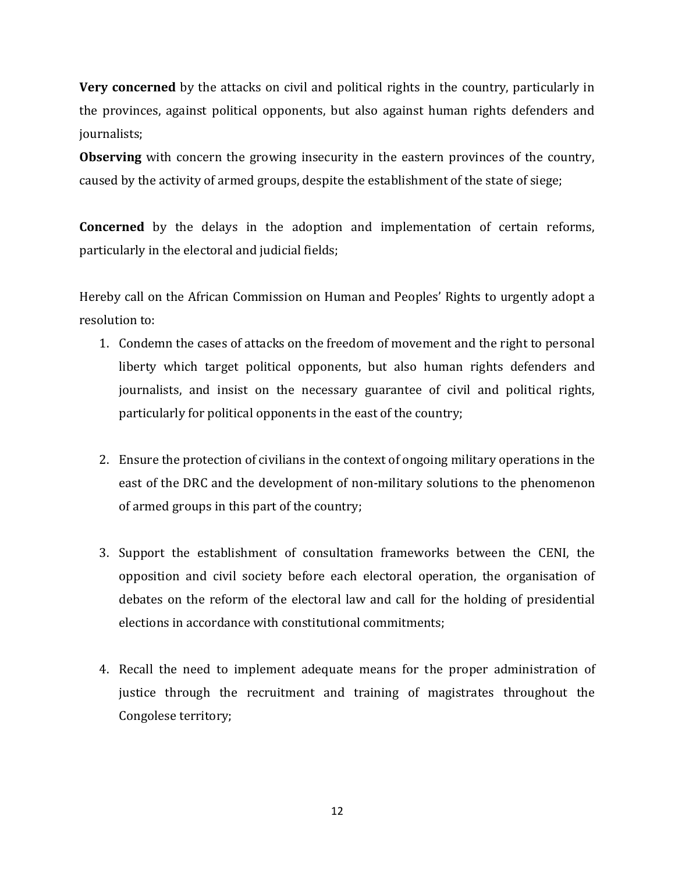**Very concerned** by the attacks on civil and political rights in the country, particularly in the provinces, against political opponents, but also against human rights defenders and journalists;

**Observing** with concern the growing insecurity in the eastern provinces of the country, caused by the activity of armed groups, despite the establishment of the state of siege;

**Concerned** by the delays in the adoption and implementation of certain reforms, particularly in the electoral and judicial fields;

Hereby call on the African Commission on Human and Peoples' Rights to urgently adopt a resolution to:

- 1. Condemn the cases of attacks on the freedom of movement and the right to personal liberty which target political opponents, but also human rights defenders and journalists, and insist on the necessary guarantee of civil and political rights, particularly for political opponents in the east of the country;
- 2. Ensure the protection of civilians in the context of ongoing military operations in the east of the DRC and the development of non-military solutions to the phenomenon of armed groups in this part of the country;
- 3. Support the establishment of consultation frameworks between the CENI, the opposition and civil society before each electoral operation, the organisation of debates on the reform of the electoral law and call for the holding of presidential elections in accordance with constitutional commitments;
- 4. Recall the need to implement adequate means for the proper administration of justice through the recruitment and training of magistrates throughout the Congolese territory;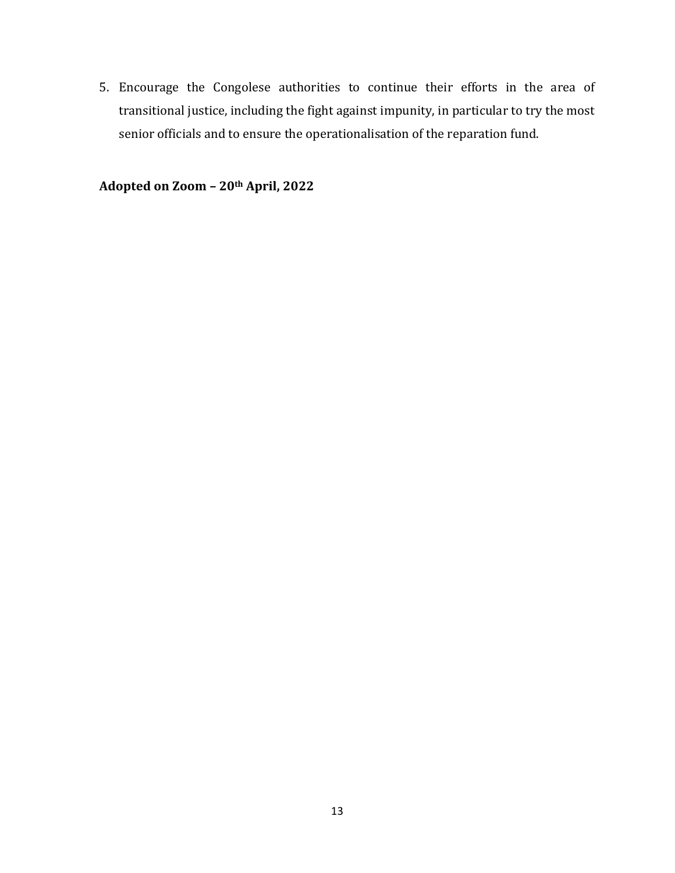5. Encourage the Congolese authorities to continue their efforts in the area of transitional justice, including the fight against impunity, in particular to try the most senior officials and to ensure the operationalisation of the reparation fund.

**Adopted on Zoom – 20th April, 2022**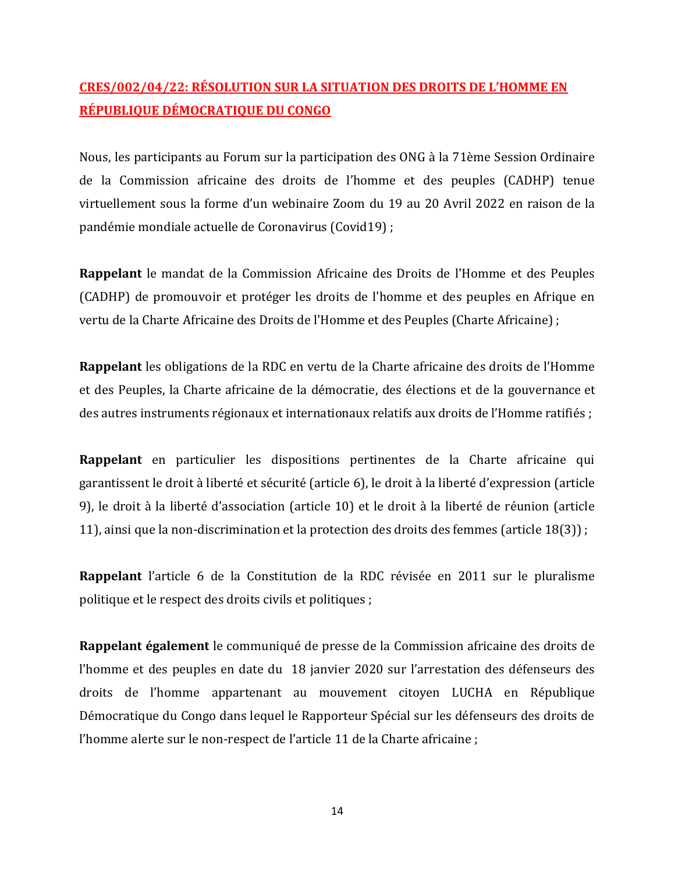#### **CRES/002/04/22: RÉSOLUTION SUR LA SITUATION DES DROITS DE L'HOMME EN RÉPUBLIQUE DÉMOCRATIQUE DU CONGO**

Nous, les participants au Forum sur la participation des ONG à la 71ème Session Ordinaire de la Commission africaine des droits de l'homme et des peuples (CADHP) tenue virtuellement sous la forme d'un webinaire Zoom du 19 au 20 Avril 2022 en raison de la pandémie mondiale actuelle de Coronavirus (Covid19) ;

**Rappelant** le mandat de la Commission Africaine des Droits de l'Homme et des Peuples (CADHP) de promouvoir et protéger les droits de l'homme et des peuples en Afrique en vertu de la Charte Africaine des Droits de l'Homme et des Peuples (Charte Africaine) ;

**Rappelant** les obligations de la RDC en vertu de la Charte africaine des droits de l'Homme et des Peuples, la Charte africaine de la démocratie, des élections et de la gouvernance et des autres instruments régionaux et internationaux relatifs aux droits de l'Homme ratifiés ;

**Rappelant** en particulier les dispositions pertinentes de la Charte africaine qui garantissent le droit à liberté et sécurité (article 6), le droit à la liberté d'expression (article 9), le droit à la liberté d'association (article 10) et le droit à la liberté de réunion (article 11), ainsi que la non-discrimination et la protection des droits des femmes (article 18(3)) ;

**Rappelant** l'article 6 de la Constitution de la RDC révisée en 2011 sur le pluralisme politique et le respect des droits civils et politiques ;

**Rappelant également** le communiqué de presse de la Commission africaine des droits de l'homme et des peuples en date du 18 janvier 2020 sur l'arrestation des défenseurs des droits de l'homme appartenant au mouvement citoyen LUCHA en République Démocratique du Congo dans lequel le Rapporteur Spécial sur les défenseurs des droits de l'homme alerte sur le non-respect de l'article 11 de la Charte africaine ;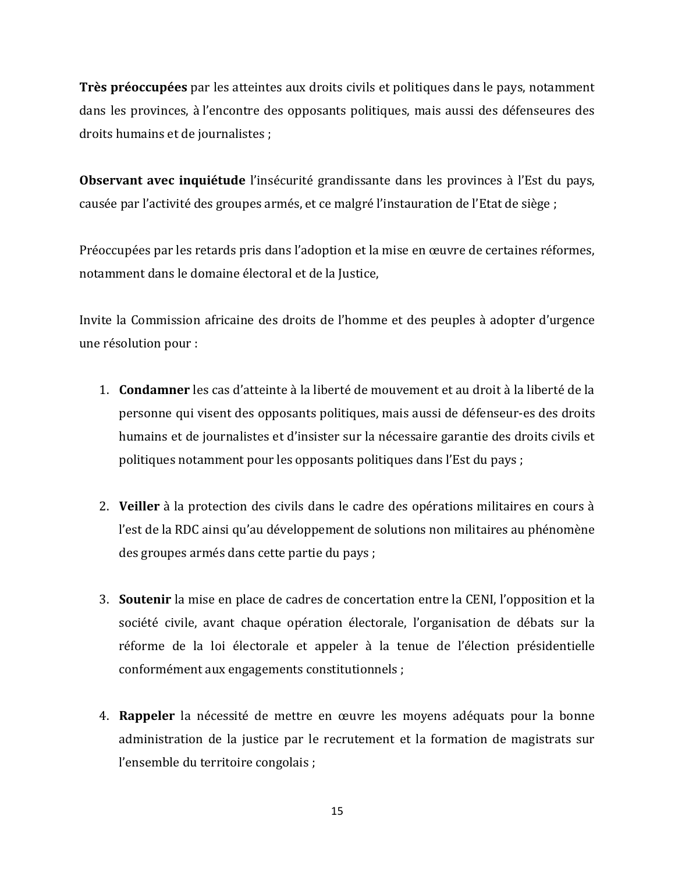**Très préoccupées** par les atteintes aux droits civils et politiques dans le pays, notamment dans les provinces, à l'encontre des opposants politiques, mais aussi des défenseures des droits humains et de journalistes ;

**Observant avec inquiétude** l'insécurité grandissante dans les provinces à l'Est du pays, causée par l'activité des groupes armés, et ce malgré l'instauration de l'Etat de siège ;

Préoccupées par les retards pris dans l'adoption et la mise en œuvre de certaines réformes, notamment dans le domaine électoral et de la Justice,

Invite la Commission africaine des droits de l'homme et des peuples à adopter d'urgence une résolution pour :

- 1. **Condamner** les cas d'atteinte à la liberté de mouvement et au droit à la liberté de la personne qui visent des opposants politiques, mais aussi de défenseur-es des droits humains et de journalistes et d'insister sur la nécessaire garantie des droits civils et politiques notamment pour les opposants politiques dans l'Est du pays ;
- 2. **Veiller** à la protection des civils dans le cadre des opérations militaires en cours à l'est de la RDC ainsi qu'au développement de solutions non militaires au phénomène des groupes armés dans cette partie du pays ;
- 3. **Soutenir** la mise en place de cadres de concertation entre la CENI, l'opposition et la société civile, avant chaque opération électorale, l'organisation de débats sur la réforme de la loi électorale et appeler à la tenue de l'élection présidentielle conformément aux engagements constitutionnels ;
- 4. **Rappeler** la nécessité de mettre en œuvre les moyens adéquats pour la bonne administration de la justice par le recrutement et la formation de magistrats sur l'ensemble du territoire congolais ;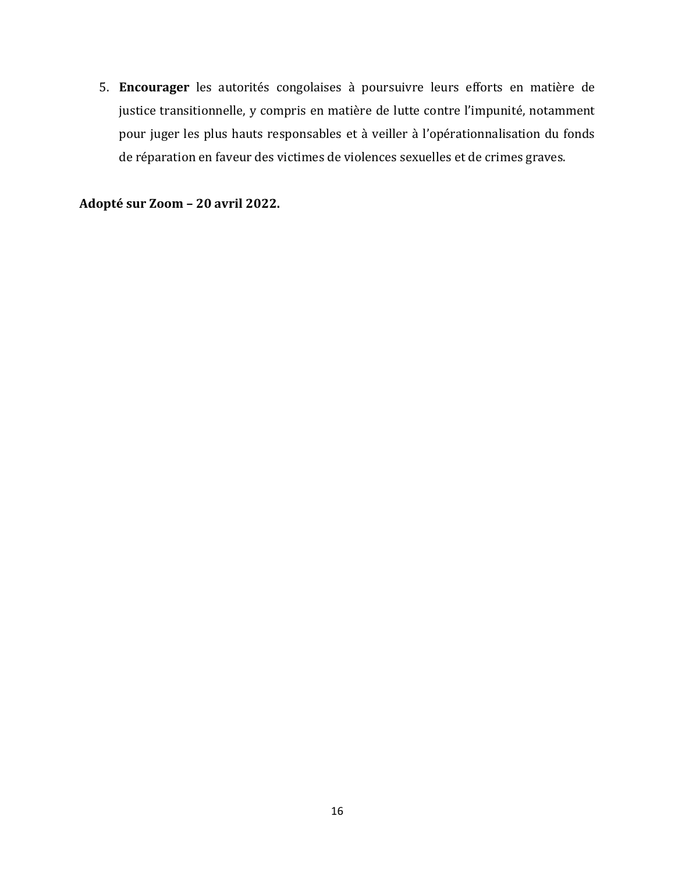5. **Encourager** les autorités congolaises à poursuivre leurs efforts en matière de justice transitionnelle, y compris en matière de lutte contre l'impunité, notamment pour juger les plus hauts responsables et à veiller à l'opérationnalisation du fonds de réparation en faveur des victimes de violences sexuelles et de crimes graves.

**Adopté sur Zoom – 20 avril 2022.**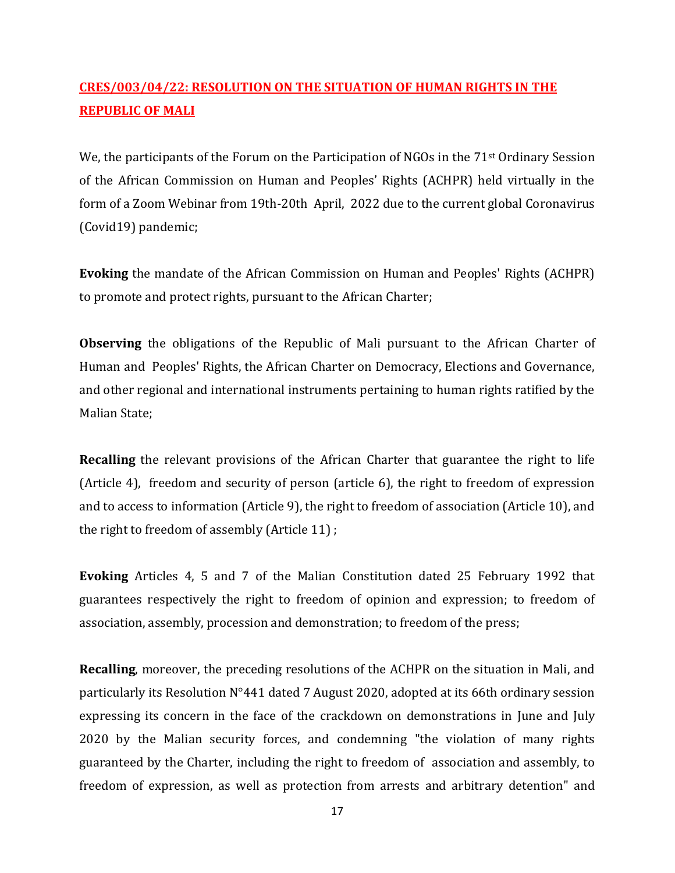### **CRES/003/04/22: RESOLUTION ON THE SITUATION OF HUMAN RIGHTS IN THE REPUBLIC OF MALI**

We, the participants of the Forum on the Participation of NGOs in the 71<sup>st</sup> Ordinary Session of the African Commission on Human and Peoples' Rights (ACHPR) held virtually in the form of a Zoom Webinar from 19th-20th April, 2022 due to the current global Coronavirus (Covid19) pandemic;

**Evoking** the mandate of the African Commission on Human and Peoples' Rights (ACHPR) to promote and protect rights, pursuant to the African Charter;

**Observing** the obligations of the Republic of Mali pursuant to the African Charter of Human and Peoples' Rights, the African Charter on Democracy, Elections and Governance, and other regional and international instruments pertaining to human rights ratified by the Malian State;

**Recalling** the relevant provisions of the African Charter that guarantee the right to life (Article 4), freedom and security of person (article 6), the right to freedom of expression and to access to information (Article 9), the right to freedom of association (Article 10), and the right to freedom of assembly (Article 11) ;

**Evoking** Articles 4, 5 and 7 of the Malian Constitution dated 25 February 1992 that guarantees respectively the right to freedom of opinion and expression; to freedom of association, assembly, procession and demonstration; to freedom of the press;

**Recalling**, moreover, the preceding resolutions of the ACHPR on the situation in Mali, and particularly its Resolution N°441 dated 7 August 2020, adopted at its 66th ordinary session expressing its concern in the face of the crackdown on demonstrations in June and July 2020 by the Malian security forces, and condemning "the violation of many rights guaranteed by the Charter, including the right to freedom of association and assembly, to freedom of expression, as well as protection from arrests and arbitrary detention" and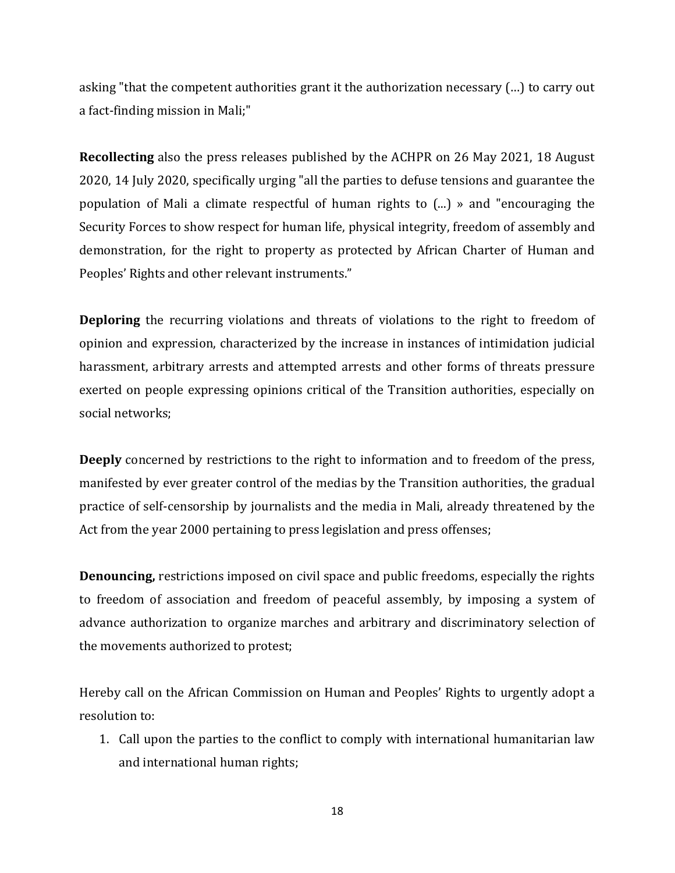asking "that the competent authorities grant it the authorization necessary (…) to carry out a fact-finding mission in Mali;"

**Recollecting** also the press releases published by the ACHPR on 26 May 2021, 18 August 2020, 14 July 2020, specifically urging "all the parties to defuse tensions and guarantee the population of Mali a climate respectful of human rights to (...) » and "encouraging the Security Forces to show respect for human life, physical integrity, freedom of assembly and demonstration, for the right to property as protected by African Charter of Human and Peoples' Rights and other relevant instruments."

**Deploring** the recurring violations and threats of violations to the right to freedom of opinion and expression, characterized by the increase in instances of intimidation judicial harassment, arbitrary arrests and attempted arrests and other forms of threats pressure exerted on people expressing opinions critical of the Transition authorities, especially on social networks;

**Deeply** concerned by restrictions to the right to information and to freedom of the press, manifested by ever greater control of the medias by the Transition authorities, the gradual practice of self-censorship by journalists and the media in Mali, already threatened by the Act from the year 2000 pertaining to press legislation and press offenses;

**Denouncing,** restrictions imposed on civil space and public freedoms, especially the rights to freedom of association and freedom of peaceful assembly, by imposing a system of advance authorization to organize marches and arbitrary and discriminatory selection of the movements authorized to protest;

Hereby call on the African Commission on Human and Peoples' Rights to urgently adopt a resolution to:

1. Call upon the parties to the conflict to comply with international humanitarian law and international human rights;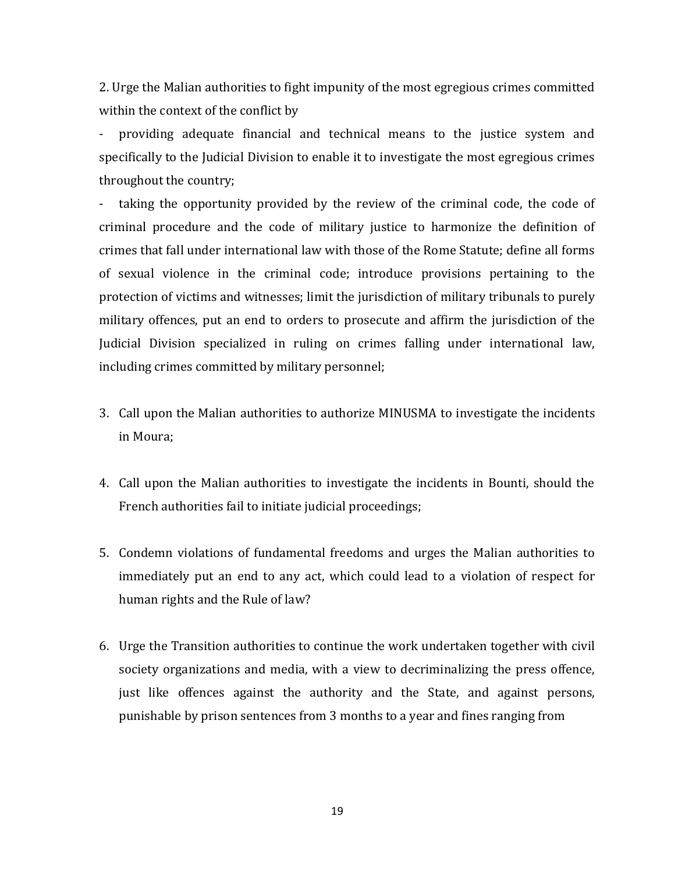2. Urge the Malian authorities to fight impunity of the most egregious crimes committed within the context of the conflict by

- providing adequate financial and technical means to the justice system and specifically to the Judicial Division to enable it to investigate the most egregious crimes throughout the country;

- taking the opportunity provided by the review of the criminal code, the code of criminal procedure and the code of military justice to harmonize the definition of crimes that fall under international law with those of the Rome Statute; define all forms of sexual violence in the criminal code; introduce provisions pertaining to the protection of victims and witnesses; limit the jurisdiction of military tribunals to purely military offences, put an end to orders to prosecute and affirm the jurisdiction of the Judicial Division specialized in ruling on crimes falling under international law, including crimes committed by military personnel;

- 3. Call upon the Malian authorities to authorize MINUSMA to investigate the incidents in Moura;
- 4. Call upon the Malian authorities to investigate the incidents in Bounti, should the French authorities fail to initiate judicial proceedings;
- 5. Condemn violations of fundamental freedoms and urges the Malian authorities to immediately put an end to any act, which could lead to a violation of respect for human rights and the Rule of law?
- 6. Urge the Transition authorities to continue the work undertaken together with civil society organizations and media, with a view to decriminalizing the press offence, just like offences against the authority and the State, and against persons, punishable by prison sentences from 3 months to a year and fines ranging from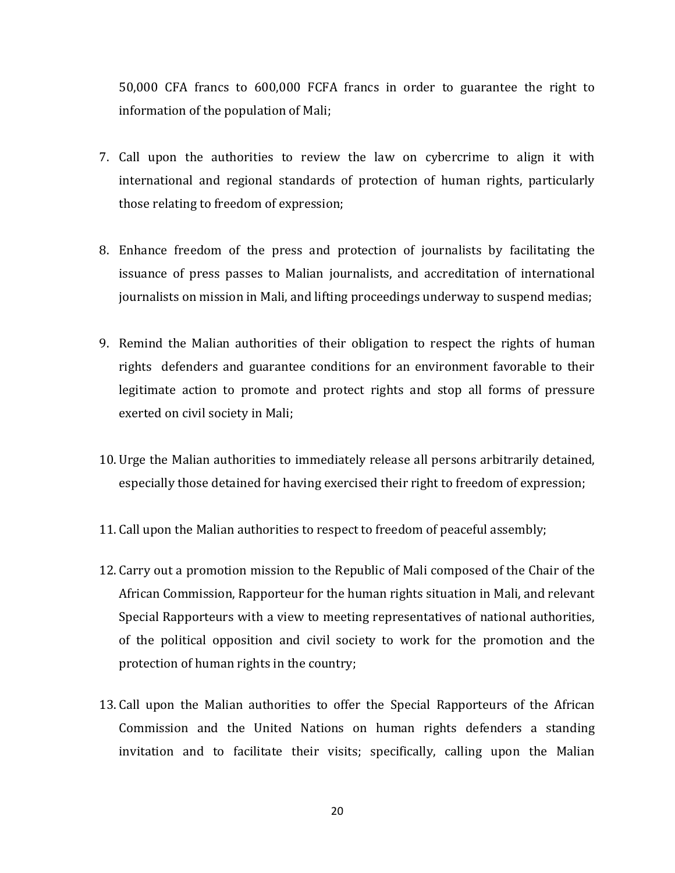50,000 CFA francs to 600,000 FCFA francs in order to guarantee the right to information of the population of Mali;

- 7. Call upon the authorities to review the law on cybercrime to align it with international and regional standards of protection of human rights, particularly those relating to freedom of expression;
- 8. Enhance freedom of the press and protection of journalists by facilitating the issuance of press passes to Malian journalists, and accreditation of international journalists on mission in Mali, and lifting proceedings underway to suspend medias;
- 9. Remind the Malian authorities of their obligation to respect the rights of human rights defenders and guarantee conditions for an environment favorable to their legitimate action to promote and protect rights and stop all forms of pressure exerted on civil society in Mali;
- 10. Urge the Malian authorities to immediately release all persons arbitrarily detained, especially those detained for having exercised their right to freedom of expression;
- 11. Call upon the Malian authorities to respect to freedom of peaceful assembly;
- 12. Carry out a promotion mission to the Republic of Mali composed of the Chair of the African Commission, Rapporteur for the human rights situation in Mali, and relevant Special Rapporteurs with a view to meeting representatives of national authorities, of the political opposition and civil society to work for the promotion and the protection of human rights in the country;
- 13. Call upon the Malian authorities to offer the Special Rapporteurs of the African Commission and the United Nations on human rights defenders a standing invitation and to facilitate their visits; specifically, calling upon the Malian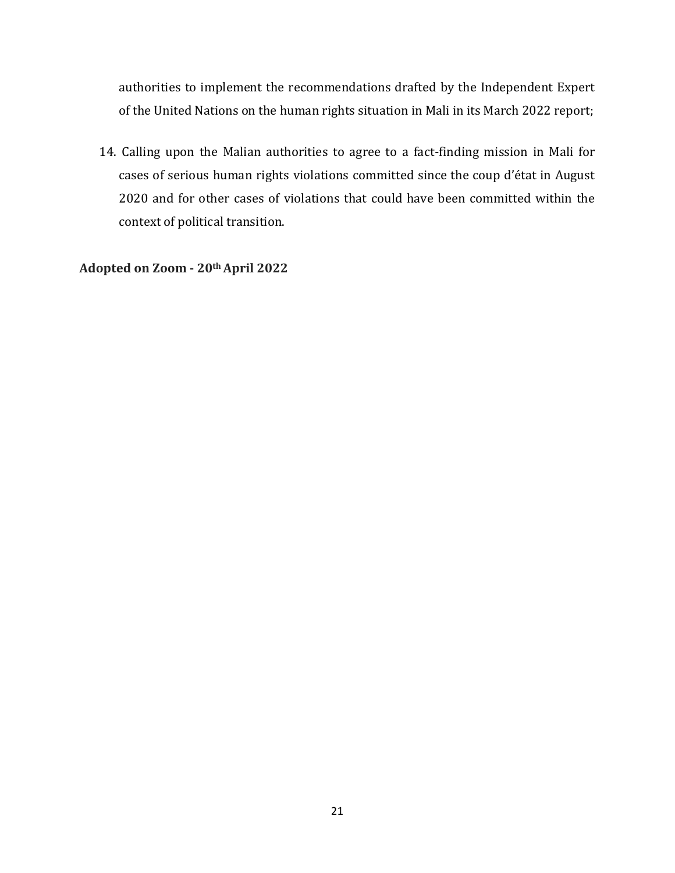authorities to implement the recommendations drafted by the Independent Expert of the United Nations on the human rights situation in Mali in its March 2022 report;

14. Calling upon the Malian authorities to agree to a fact-finding mission in Mali for cases of serious human rights violations committed since the coup d'état in August 2020 and for other cases of violations that could have been committed within the context of political transition.

**Adopted on Zoom - 20th April 2022**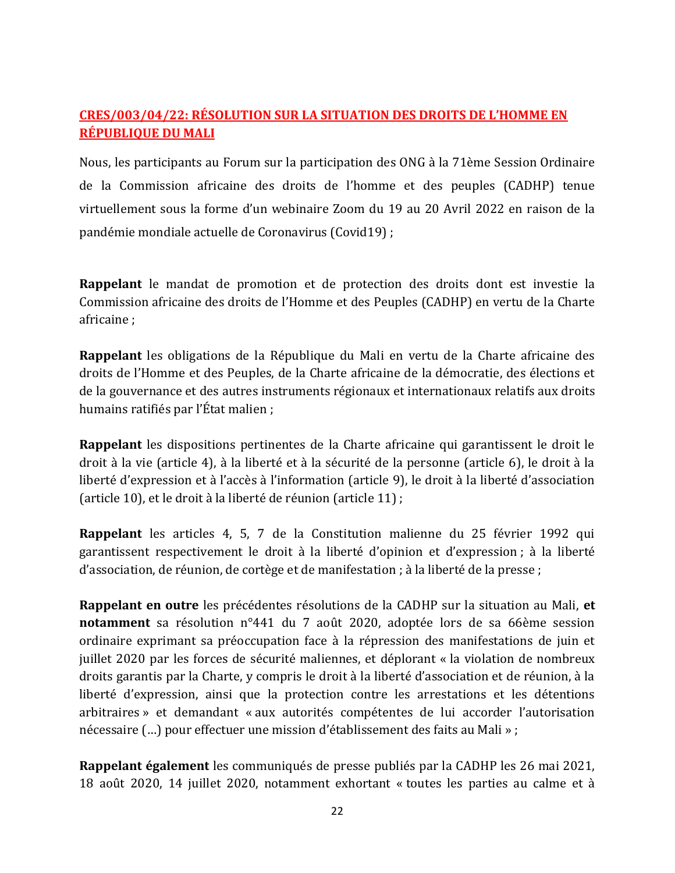#### **CRES/003/04/22: RÉSOLUTION SUR LA SITUATION DES DROITS DE L'HOMME EN RÉPUBLIQUE DU MALI**

Nous, les participants au Forum sur la participation des ONG à la 71ème Session Ordinaire de la Commission africaine des droits de l'homme et des peuples (CADHP) tenue virtuellement sous la forme d'un webinaire Zoom du 19 au 20 Avril 2022 en raison de la pandémie mondiale actuelle de Coronavirus (Covid19) ;

**Rappelant** le mandat de promotion et de protection des droits dont est investie la Commission africaine des droits de l'Homme et des Peuples (CADHP) en vertu de la Charte africaine ;

**Rappelant** les obligations de la République du Mali en vertu de la Charte africaine des droits de l'Homme et des Peuples, de la Charte africaine de la démocratie, des élections et de la gouvernance et des autres instruments régionaux et internationaux relatifs aux droits humains ratifiés par l'État malien ;

**Rappelant** les dispositions pertinentes de la Charte africaine qui garantissent le droit le droit à la vie (article 4), à la liberté et à la sécurité de la personne (article 6), le droit à la liberté d'expression et à l'accès à l'information (article 9), le droit à la liberté d'association (article 10), et le droit à la liberté de réunion (article 11) ;

**Rappelant** les articles 4, 5, 7 de la Constitution malienne du 25 février 1992 qui garantissent respectivement le droit à la liberté d'opinion et d'expression ; à la liberté d'association, de réunion, de cortège et de manifestation ; à la liberté de la presse ;

**Rappelant en outre** les précédentes résolutions de la CADHP sur la situation au Mali, **et notamment** sa résolution n°441 du 7 août 2020, adoptée lors de sa 66ème session ordinaire exprimant sa préoccupation face à la répression des manifestations de juin et juillet 2020 par les forces de sécurité maliennes, et déplorant « la violation de nombreux droits garantis par la Charte, y compris le droit à la liberté d'association et de réunion, à la liberté d'expression, ainsi que la protection contre les arrestations et les détentions arbitraires » et demandant « aux autorités compétentes de lui accorder l'autorisation nécessaire (…) pour effectuer une mission d'établissement des faits au Mali » ;

**Rappelant également** les communiqués de presse publiés par la CADHP les 26 mai 2021, 18 août 2020, 14 juillet 2020, notamment exhortant « toutes les parties au calme et à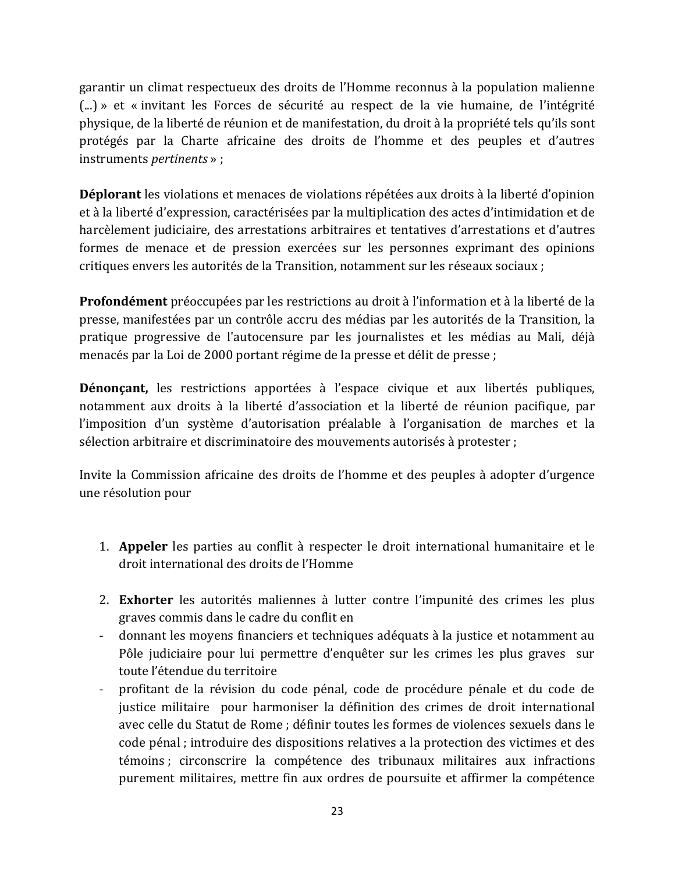garantir un climat respectueux des droits de l'Homme reconnus à la population malienne (...) » et « invitant les Forces de sécurité au respect de la vie humaine, de l'intégrité physique, de la liberté de réunion et de manifestation, du droit à la propriété tels qu'ils sont protégés par la Charte africaine des droits de l'homme et des peuples et d'autres instruments *pertinents* » ;

**Déplorant** les violations et menaces de violations répétées aux droits à la liberté d'opinion et à la liberté d'expression, caractérisées par la multiplication des actes d'intimidation et de harcèlement judiciaire, des arrestations arbitraires et tentatives d'arrestations et d'autres formes de menace et de pression exercées sur les personnes exprimant des opinions critiques envers les autorités de la Transition, notamment sur les réseaux sociaux ;

**Profondément** préoccupées par les restrictions au droit à l'information et à la liberté de la presse, manifestées par un contrôle accru des médias par les autorités de la Transition, la pratique progressive de l'autocensure par les journalistes et les médias au Mali, déjà menacés par la Loi de 2000 portant régime de la presse et délit de presse ;

**Dénonçant,** les restrictions apportées à l'espace civique et aux libertés publiques, notamment aux droits à la liberté d'association et la liberté de réunion pacifique, par l'imposition d'un système d'autorisation préalable à l'organisation de marches et la sélection arbitraire et discriminatoire des mouvements autorisés à protester ;

Invite la Commission africaine des droits de l'homme et des peuples à adopter d'urgence une résolution pour

- 1. **Appeler** les parties au conflit à respecter le droit international humanitaire et le droit international des droits de l'Homme
- 2. **Exhorter** les autorités maliennes à lutter contre l'impunité des crimes les plus graves commis dans le cadre du conflit en
- donnant les moyens financiers et techniques adéquats à la justice et notamment au Pôle judiciaire pour lui permettre d'enquêter sur les crimes les plus graves sur toute l'étendue du territoire
- profitant de la révision du code pénal, code de procédure pénale et du code de justice militaire pour harmoniser la définition des crimes de droit international avec celle du Statut de Rome ; définir toutes les formes de violences sexuels dans le code pénal ; introduire des dispositions relatives a la protection des victimes et des témoins ; circonscrire la compétence des tribunaux militaires aux infractions purement militaires, mettre fin aux ordres de poursuite et affirmer la compétence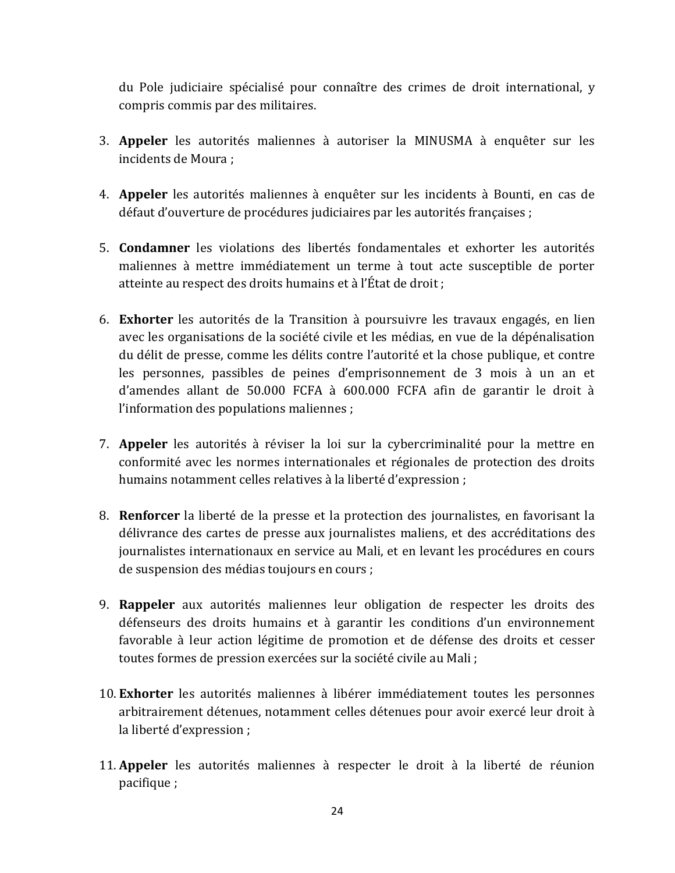du Pole judiciaire spécialisé pour connaître des crimes de droit international, y compris commis par des militaires.

- 3. **Appeler** les autorités maliennes à autoriser la MINUSMA à enquêter sur les incidents de Moura ;
- 4. **Appeler** les autorités maliennes à enquêter sur les incidents à Bounti, en cas de défaut d'ouverture de procédures judiciaires par les autorités françaises ;
- 5. **Condamner** les violations des libertés fondamentales et exhorter les autorités maliennes à mettre immédiatement un terme à tout acte susceptible de porter atteinte au respect des droits humains et à l'État de droit ;
- 6. **Exhorter** les autorités de la Transition à poursuivre les travaux engagés, en lien avec les organisations de la société civile et les médias, en vue de la dépénalisation du délit de presse, comme les délits contre l'autorité et la chose publique, et contre les personnes, passibles de peines d'emprisonnement de 3 mois à un an et d'amendes allant de 50.000 FCFA à 600.000 FCFA afin de garantir le droit à l'information des populations maliennes ;
- 7. **Appeler** les autorités à réviser la loi sur la cybercriminalité pour la mettre en conformité avec les normes internationales et régionales de protection des droits humains notamment celles relatives à la liberté d'expression ;
- 8. **Renforcer** la liberté de la presse et la protection des journalistes, en favorisant la délivrance des cartes de presse aux journalistes maliens, et des accréditations des journalistes internationaux en service au Mali, et en levant les procédures en cours de suspension des médias toujours en cours ;
- 9. **Rappeler** aux autorités maliennes leur obligation de respecter les droits des défenseurs des droits humains et à garantir les conditions d'un environnement favorable à leur action légitime de promotion et de défense des droits et cesser toutes formes de pression exercées sur la société civile au Mali ;
- 10. **Exhorter** les autorités maliennes à libérer immédiatement toutes les personnes arbitrairement détenues, notamment celles détenues pour avoir exercé leur droit à la liberté d'expression ;
- 11. **Appeler** les autorités maliennes à respecter le droit à la liberté de réunion pacifique ;